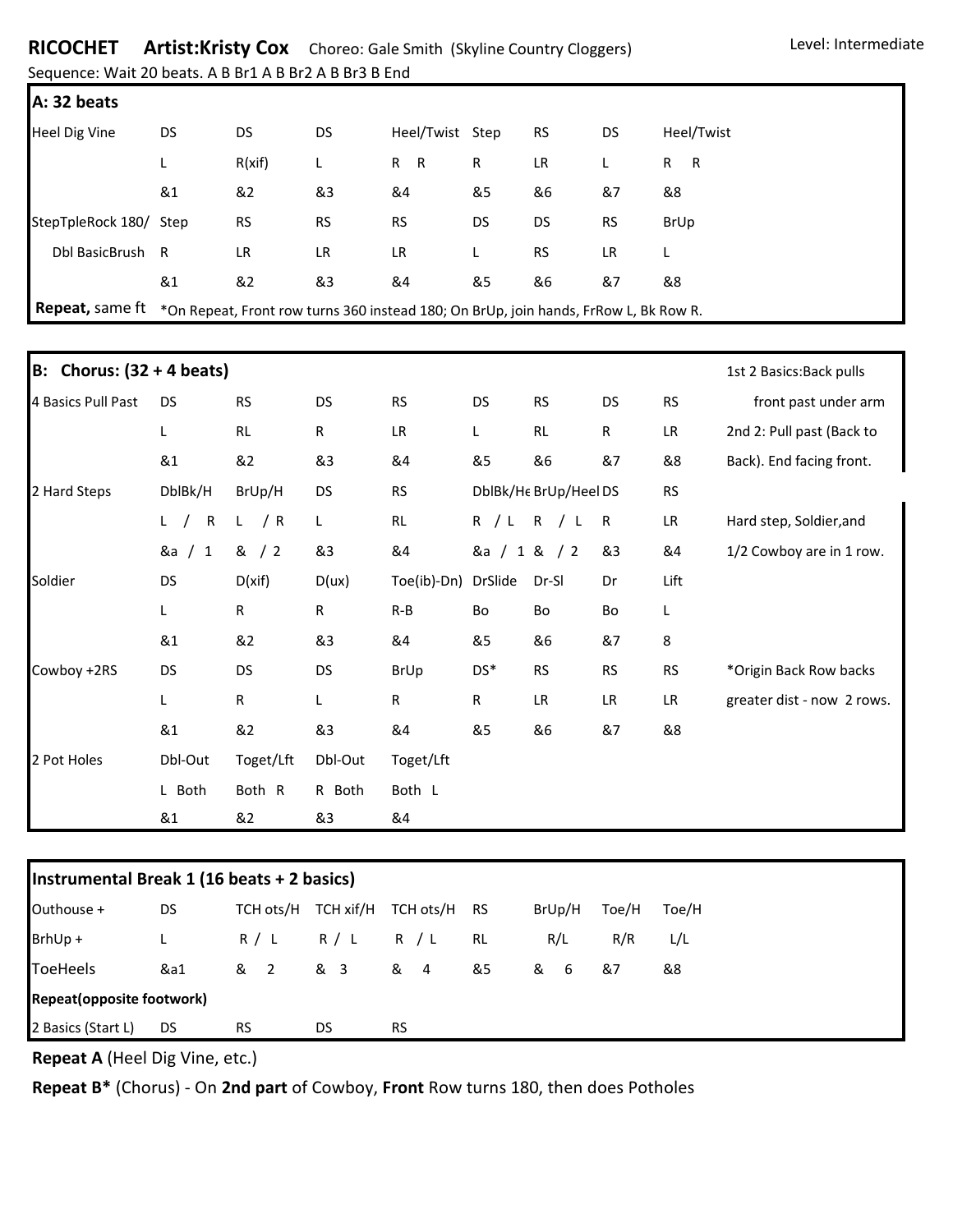## **RICOCHET Artist:Kristy Cox** Choreo: Gale Smith (Skyline Country Cloggers) Sequence: Wait 20 beats. A B Br1 A B Br2 A B Br3 B End

| A: 32 beats            |                                                                                      |           |           |                 |           |           |           |            |  |
|------------------------|--------------------------------------------------------------------------------------|-----------|-----------|-----------------|-----------|-----------|-----------|------------|--|
| <b>Heel Dig Vine</b>   | DS                                                                                   | DS.       | DS.       | Heel/Twist Step |           | <b>RS</b> | DS        | Heel/Twist |  |
|                        | L.                                                                                   | R(xif)    | L         | R R             | R         | LR        | L         | $R$ R      |  |
|                        | &1                                                                                   | &2        | &3        | &4              | &5        | &6        | &7        | &8         |  |
| StepTpleRock 180/ Step |                                                                                      | <b>RS</b> | <b>RS</b> | <b>RS</b>       | <b>DS</b> | DS.       | <b>RS</b> | BrUp       |  |
| Dbl BasicBrush R       |                                                                                      | LR        | LR        | LR              | L         | <b>RS</b> | LR        | L          |  |
|                        | &1                                                                                   | &2        | &3        | &4              | &5        | &6        | &7        | &8         |  |
| <b>Repeat, same ft</b> | *On Repeat, Front row turns 360 instead 180; On BrUp, join hands, FrRow L, Bk Row R. |           |           |                 |           |           |           |            |  |

| Chorus: $(32 + 4 \text{ beats})$<br><b>B:</b> | 1st 2 Basics: Back pulls |                       |           |             |              |                       |           |           |                            |
|-----------------------------------------------|--------------------------|-----------------------|-----------|-------------|--------------|-----------------------|-----------|-----------|----------------------------|
| 4 Basics Pull Past                            | DS                       | <b>RS</b>             | DS        | <b>RS</b>   | DS           | <b>RS</b>             | DS        | <b>RS</b> | front past under arm       |
|                                               | L                        | RL                    | ${\sf R}$ | LR          | L            | RL                    | R         | LR        | 2nd 2: Pull past (Back to  |
|                                               | 81                       | &2                    | &3        | &4          | &5           | &6                    | &7        | &8        | Back). End facing front.   |
| 2 Hard Steps                                  | DblBk/H                  | BrUp/H                | <b>DS</b> | <b>RS</b>   |              | DblBk/He BrUp/Heel DS |           | <b>RS</b> |                            |
|                                               | $\mathsf{R}$<br>L        | / R<br>$\mathsf{L}^-$ | L         | RL          | R / L        | $\mathsf{R}$<br>/ L   | R         | LR        | Hard step, Soldier, and    |
|                                               | &a<br>/1                 | 8 / 2                 | &3        | &4          | &a / 1 & / 2 |                       | &3        | &4        | 1/2 Cowboy are in 1 row.   |
| Soldier                                       | <b>DS</b>                | D(xif)                | D(ux)     | Toe(ib)-Dn) | DrSlide      | Dr-Sl                 | Dr        | Lift      |                            |
|                                               | L                        | ${\sf R}$             | ${\sf R}$ | $R-B$       | Bo           | Bo                    | Bo        | L         |                            |
|                                               | 81                       | &2                    | &3        | &4          | &5           | &6                    | &7        | 8         |                            |
| Cowboy +2RS                                   | <b>DS</b>                | <b>DS</b>             | <b>DS</b> | BrUp        | DS*          | <b>RS</b>             | <b>RS</b> | <b>RS</b> | *Origin Back Row backs     |
|                                               | L                        | ${\sf R}$             | L         | $\mathsf R$ | $\mathsf{R}$ | LR                    | LR        | LR        | greater dist - now 2 rows. |
|                                               | 81                       | &2                    | &3        | &4          | &5           | &6                    | &7        | &8        |                            |
| 2 Pot Holes                                   | Dbl-Out                  | Toget/Lft             | Dbl-Out   | Toget/Lft   |              |                       |           |           |                            |
|                                               | L Both                   | Both R                | R Both    | Both L      |              |                       |           |           |                            |
|                                               | &1                       | &2                    | &3        | &4          |              |                       |           |           |                            |

| Instrumental Break 1 (16 beats + 2 basics) |     |                                 |           |                     |    |          |       |       |  |
|--------------------------------------------|-----|---------------------------------|-----------|---------------------|----|----------|-------|-------|--|
| Outhouse +                                 | DS. | TCH ots/H                       | TCH xif/H | TCH ots/H RS        |    | BrUp/H   | Toe/H | Toe/H |  |
| $BrhUp +$                                  |     | R / L                           | R / L     | R / L               | RL | R/L      | R/R   | L/L   |  |
| ToeHeels                                   | &a1 | &<br>$\overline{\phantom{0}}^2$ | & 3       | &<br>$\overline{4}$ | &5 | &<br>- 6 | &7    | &8    |  |
| Repeat(opposite footwork)                  |     |                                 |           |                     |    |          |       |       |  |
| 2 Basics (Start L)                         | DS. | <b>RS</b>                       | DS        | <b>RS</b>           |    |          |       |       |  |

**Repeat A** (Heel Dig Vine, etc.)

**Repeat B\*** (Chorus) - On **2nd part** of Cowboy, **Front** Row turns 180, then does Potholes